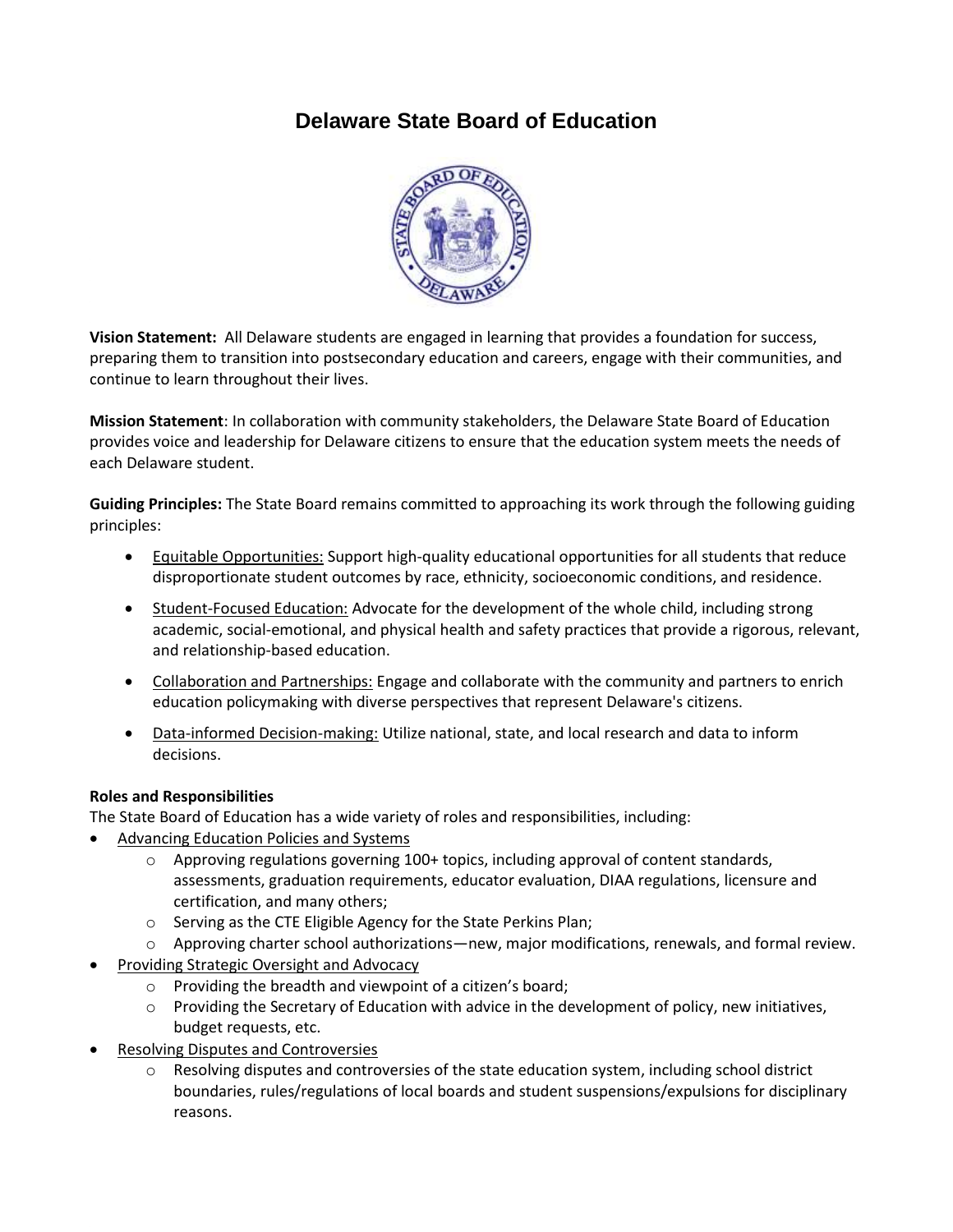## **Delaware State Board of Education**



**Vision Statement:** All Delaware students are engaged in learning that provides a foundation for success, preparing them to transition into postsecondary education and careers, engage with their communities, and continue to learn throughout their lives.

**Mission Statement**: In collaboration with community stakeholders, the Delaware State Board of Education provides voice and leadership for Delaware citizens to ensure that the education system meets the needs of each Delaware student.

**Guiding Principles:** The State Board remains committed to approaching its work through the following guiding principles:

- Equitable Opportunities: Support high-quality educational opportunities for all students that reduce disproportionate student outcomes by race, ethnicity, socioeconomic conditions, and residence.
- Student-Focused Education: Advocate for the development of the whole child, including strong academic, social-emotional, and physical health and safety practices that provide a rigorous, relevant, and relationship-based education.
- Collaboration and Partnerships: Engage and collaborate with the community and partners to enrich education policymaking with diverse perspectives that represent Delaware's citizens.
- Data-informed Decision-making: Utilize national, state, and local research and data to inform decisions.

## **Roles and Responsibilities**

The State Board of Education has a wide variety of roles and responsibilities, including:

- Advancing Education Policies and Systems
	- $\circ$  Approving regulations governing 100+ topics, including approval of content standards, assessments, graduation requirements, educator evaluation, DIAA regulations, licensure and certification, and many others;
	- o Serving as the CTE Eligible Agency for the State Perkins Plan;
	- o Approving charter school authorizations—new, major modifications, renewals, and formal review.
- Providing Strategic Oversight and Advocacy
	- o Providing the breadth and viewpoint of a citizen's board;
	- $\circ$  Providing the Secretary of Education with advice in the development of policy, new initiatives, budget requests, etc.
- Resolving Disputes and Controversies
	- o Resolving disputes and controversies of the state education system, including school district boundaries, rules/regulations of local boards and student suspensions/expulsions for disciplinary reasons.